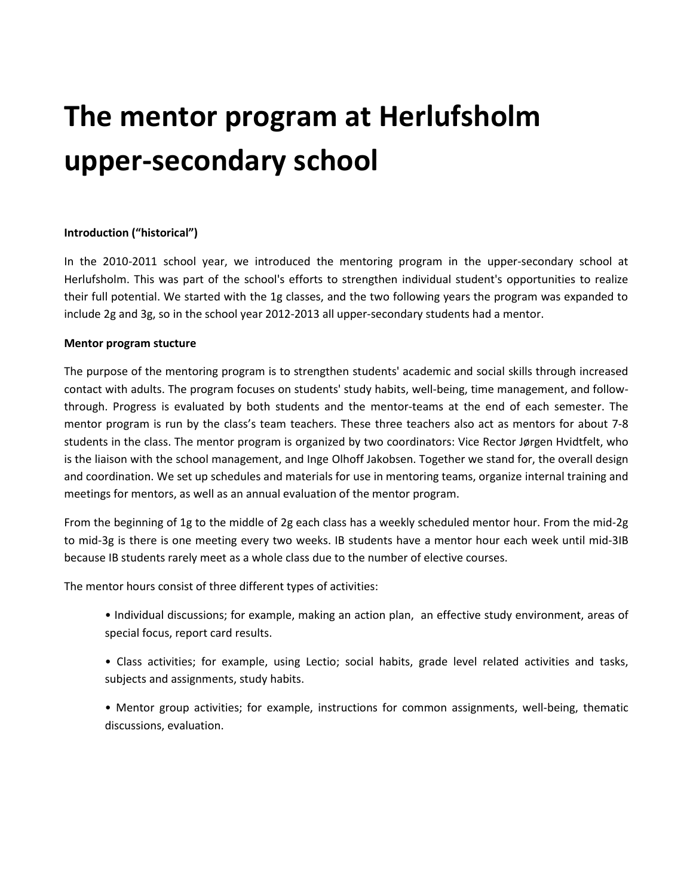# **The mentor program at Herlufsholm upper-secondary school**

## **Introduction ("historical")**

In the 2010-2011 school year, we introduced the mentoring program in the upper-secondary school at Herlufsholm. This was part of the school's efforts to strengthen individual student's opportunities to realize their full potential. We started with the 1g classes, and the two following years the program was expanded to include 2g and 3g, so in the school year 2012-2013 all upper-secondary students had a mentor.

### **Mentor program stucture**

The purpose of the mentoring program is to strengthen students' academic and social skills through increased contact with adults. The program focuses on students' study habits, well-being, time management, and followthrough. Progress is evaluated by both students and the mentor-teams at the end of each semester. The mentor program is run by the class's team teachers. These three teachers also act as mentors for about 7-8 students in the class. The mentor program is organized by two coordinators: Vice Rector Jørgen Hvidtfelt, who is the liaison with the school management, and Inge Olhoff Jakobsen. Together we stand for, the overall design and coordination. We set up schedules and materials for use in mentoring teams, organize internal training and meetings for mentors, as well as an annual evaluation of the mentor program.

From the beginning of 1g to the middle of 2g each class has a weekly scheduled mentor hour. From the mid-2g to mid-3g is there is one meeting every two weeks. IB students have a mentor hour each week until mid-3IB because IB students rarely meet as a whole class due to the number of elective courses.

The mentor hours consist of three different types of activities:

- Individual discussions; for example, making an action plan, an effective study environment, areas of special focus, report card results.
- Class activities; for example, using Lectio; social habits, grade level related activities and tasks, subjects and assignments, study habits.
- Mentor group activities; for example, instructions for common assignments, well-being, thematic discussions, evaluation.